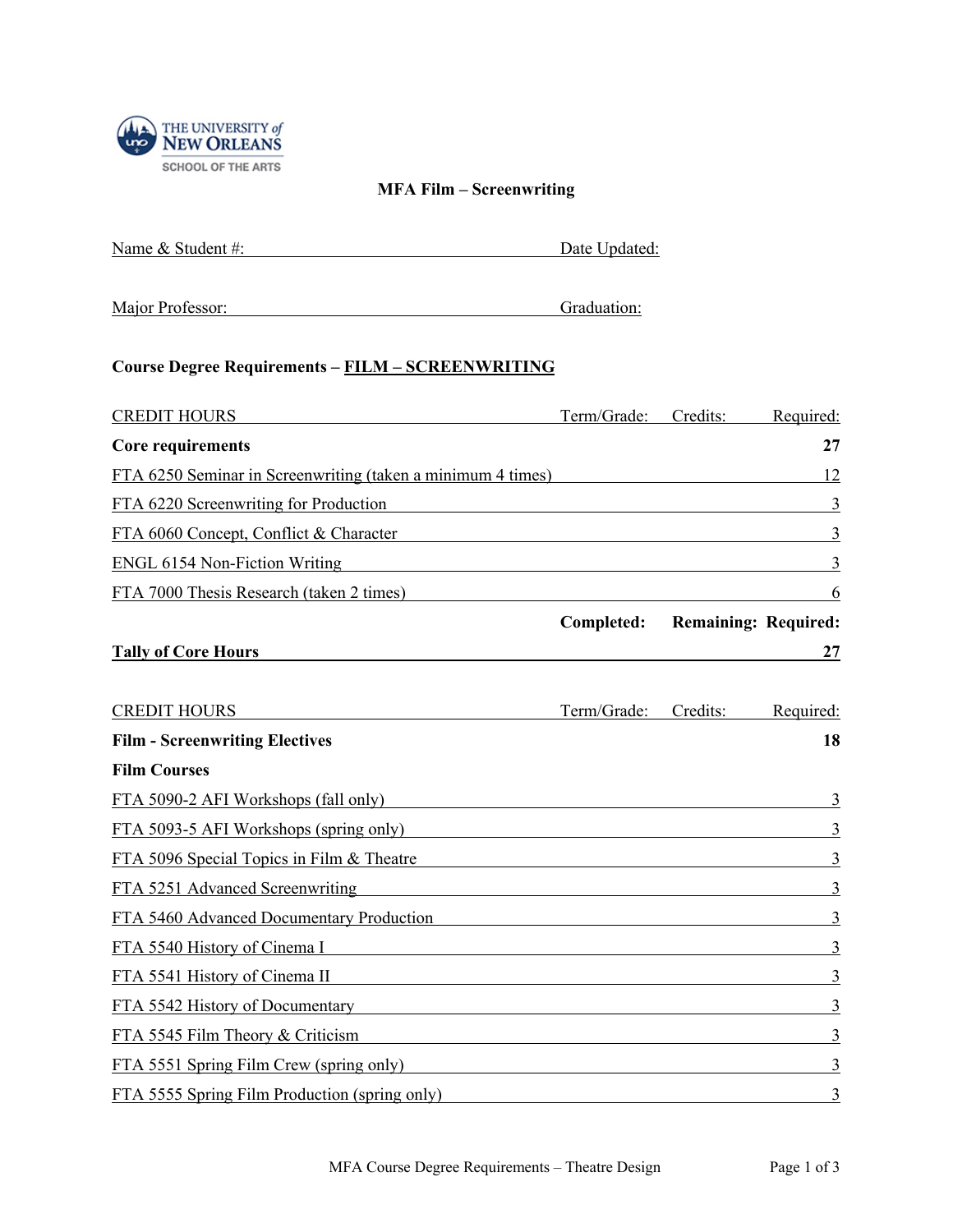

## **MFA Film – Screenwriting**

| Name & Student #: | Date Updated: |
|-------------------|---------------|
|                   |               |

## **Course Degree Requirements – FILM – SCREENWRITING**

| <b>CREDIT HOURS</b>                                                                                                                                             |             | Term/Grade: Credits:                   | Required:      |
|-----------------------------------------------------------------------------------------------------------------------------------------------------------------|-------------|----------------------------------------|----------------|
| <b>Core requirements</b>                                                                                                                                        |             |                                        | 27             |
| FTA 6250 Seminar in Screenwriting (taken a minimum 4 times)                                                                                                     |             |                                        | 12             |
| FTA 6220 Screenwriting for Production<br><u> 1989 - Johann Stoff, deutscher Stoffen und der Stoffen und der Stoffen und der Stoffen und der Stoffen und de</u>  |             |                                        | 3              |
| FTA 6060 Concept, Conflict & Character<br><u> 1989 - Johann Barn, mars ann an t-Amhain an t-Amhain ann an t-Amhain an t-Amhain an t-Amhain an t-Amhain ann </u> |             |                                        | 3              |
| ENGL 6154 Non-Fiction Writing                                                                                                                                   |             |                                        | 3              |
| FTA 7000 Thesis Research (taken 2 times)                                                                                                                        |             |                                        | 6              |
|                                                                                                                                                                 |             | <b>Completed:</b> Remaining: Required: |                |
| <b>Tally of Core Hours</b>                                                                                                                                      |             |                                        | 27             |
| <b>CREDIT HOURS</b>                                                                                                                                             | Term/Grade: | Credits:                               | Required:      |
| <b>Film - Screenwriting Electives</b>                                                                                                                           |             |                                        | 18             |
| <b>Film Courses</b>                                                                                                                                             |             |                                        |                |
| FTA 5090-2 AFI Workshops (fall only)                                                                                                                            |             |                                        | 3              |
| FTA 5093-5 AFI Workshops (spring only)                                                                                                                          |             |                                        | 3              |
| FTA 5096 Special Topics in Film & Theatre Theorem 2014 September 2014 September 2014                                                                            |             |                                        | 3              |
| FTA 5251 Advanced Screenwriting Table 1 and 2014 1997 and 2014 1997 and 2014 1997 and 2014 1997 and 2014 1997                                                   |             |                                        |                |
| FTA 5460 Advanced Documentary Production                                                                                                                        |             |                                        | 3              |
| FTA 5540 History of Cinema I                                                                                                                                    |             |                                        | 3              |
| FTA 5541 History of Cinema II                                                                                                                                   |             |                                        | $\mathfrak{Z}$ |
| FTA 5542 History of Documentary                                                                                                                                 |             |                                        | 3              |
| FTA 5545 Film Theory & Criticism                                                                                                                                |             |                                        | $\mathfrak{Z}$ |
| FTA 5551 Spring Film Crew (spring only)                                                                                                                         |             |                                        | 3              |
| FTA 5555 Spring Film Production (spring only)                                                                                                                   |             |                                        | 3              |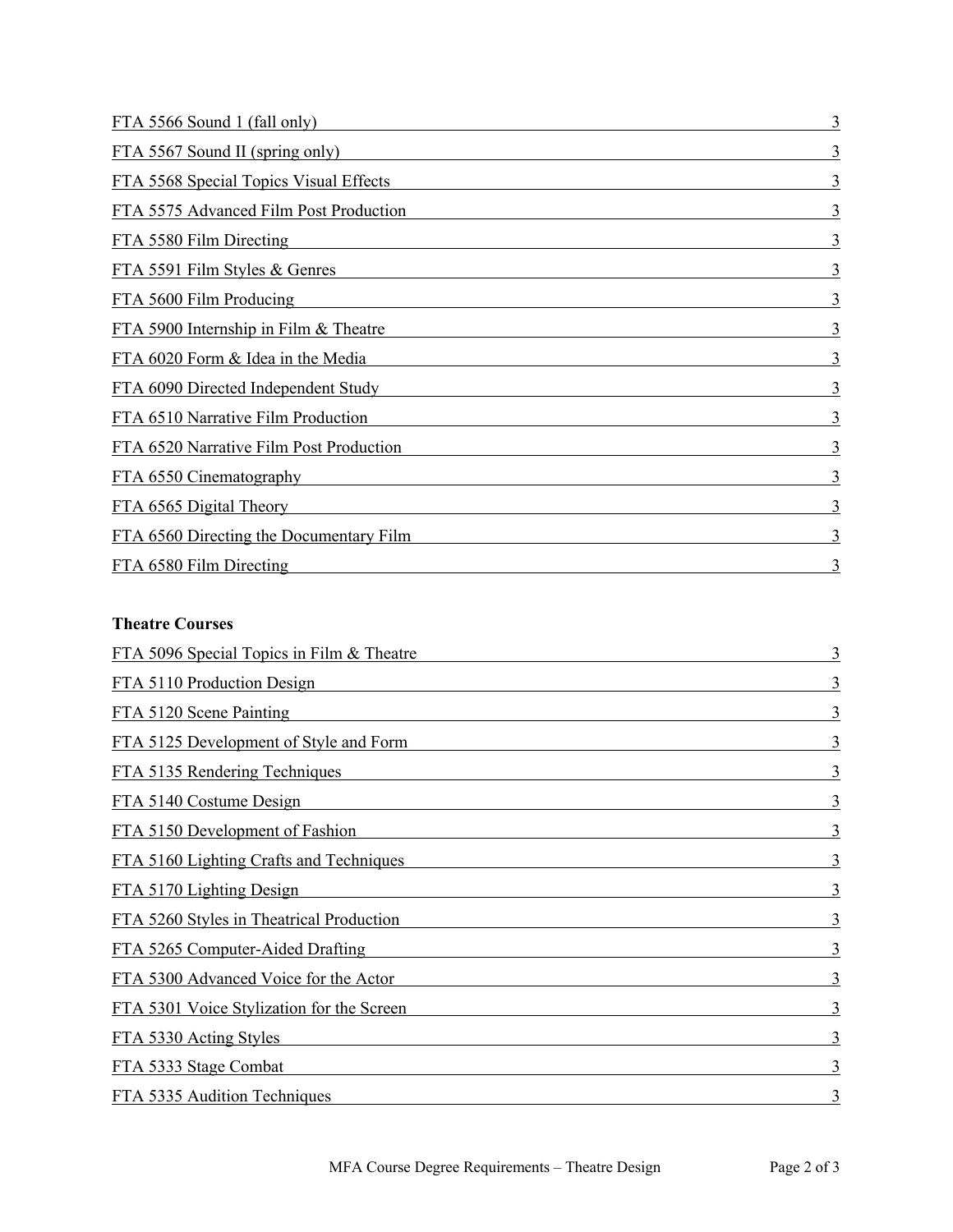| FTA 5566 Sound 1 (fall only)            | 3 |
|-----------------------------------------|---|
| <u>FTA 5567 Sound II (spring only)</u>  | 3 |
| FTA 5568 Special Topics Visual Effects  | 3 |
| FTA 5575 Advanced Film Post Production  | 3 |
| FTA 5580 Film Directing                 |   |
| FTA 5591 Film Styles & Genres           | 3 |
| FTA 5600 Film Producing                 | 3 |
| FTA 5900 Internship in Film & Theatre   | 3 |
| FTA 6020 Form & Idea in the Media       | 3 |
| FTA 6090 Directed Independent Study     | 3 |
| FTA 6510 Narrative Film Production      | 3 |
| FTA 6520 Narrative Film Post Production | 3 |
| FTA 6550 Cinematography                 | 3 |
| FTA 6565 Digital Theory                 | 3 |
| FTA 6560 Directing the Documentary Film | 3 |
| FTA 6580 Film Directing                 | 3 |

## **Theatre Courses**

| FTA 5096 Special Topics in Film & Theatre | 3 |
|-------------------------------------------|---|
| FTA 5110 Production Design                | 3 |
| FTA 5120 Scene Painting                   | 3 |
| FTA 5125 Development of Style and Form    | 3 |
| FTA 5135 Rendering Techniques             | 3 |
| FTA 5140 Costume Design                   | 3 |
| FTA 5150 Development of Fashion           | 3 |
| FTA 5160 Lighting Crafts and Techniques   | 3 |
| FTA 5170 Lighting Design                  | 3 |
| FTA 5260 Styles in Theatrical Production  | 3 |
| FTA 5265 Computer-Aided Drafting          | 3 |
| FTA 5300 Advanced Voice for the Actor     | 3 |
| FTA 5301 Voice Stylization for the Screen | 3 |
| FTA 5330 Acting Styles                    | 3 |
| FTA 5333 Stage Combat                     | 3 |
| FTA 5335 Audition Techniques              | 3 |